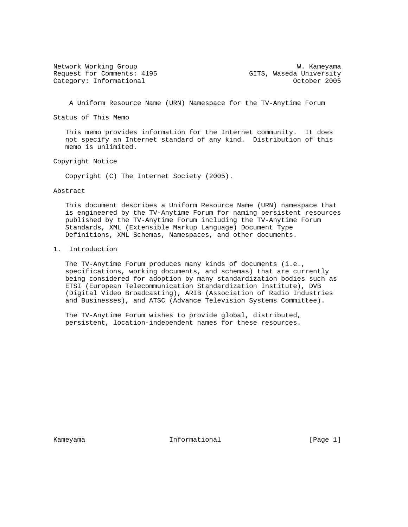Network Working Group West Communications and W. Kameyama Request for Comments: 4195 GITS, Waseda University Category: Informational and Category: Category: Informational control of the Category: Category: Category: Category: Category: Category: Category: Category: Category: Category: Category: Category: Category: Category: Categ

A Uniform Resource Name (URN) Namespace for the TV-Anytime Forum

Status of This Memo

 This memo provides information for the Internet community. It does not specify an Internet standard of any kind. Distribution of this memo is unlimited.

Copyright Notice

Copyright (C) The Internet Society (2005).

#### Abstract

 This document describes a Uniform Resource Name (URN) namespace that is engineered by the TV-Anytime Forum for naming persistent resources published by the TV-Anytime Forum including the TV-Anytime Forum Standards, XML (Extensible Markup Language) Document Type Definitions, XML Schemas, Namespaces, and other documents.

## 1. Introduction

 The TV-Anytime Forum produces many kinds of documents (i.e., specifications, working documents, and schemas) that are currently being considered for adoption by many standardization bodies such as ETSI (European Telecommunication Standardization Institute), DVB (Digital Video Broadcasting), ARIB (Association of Radio Industries and Businesses), and ATSC (Advance Television Systems Committee).

 The TV-Anytime Forum wishes to provide global, distributed, persistent, location-independent names for these resources.

Kameyama **Informational** Informational [Page 1]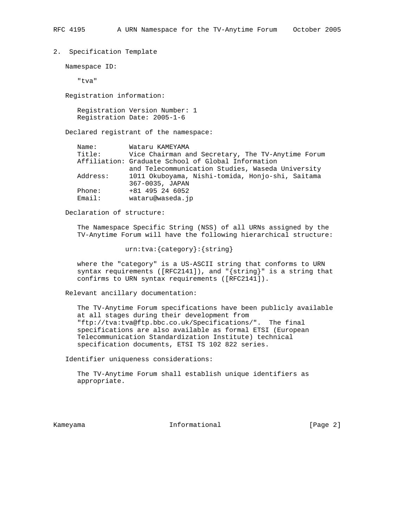## 2. Specification Template

Namespace ID:

"tva"

Registration information:

 Registration Version Number: 1 Registration Date: 2005-1-6

Declared registrant of the namespace:

| Name:    | Wataru KAMEYAMA                                    |
|----------|----------------------------------------------------|
| Title:   | Vice Chairman and Secretary, The TV-Anytime Forum  |
|          | Affiliation: Graduate School of Global Information |
|          | and Telecommunication Studies, Waseda University   |
| Address: | 1011 Okuboyama, Nishi-tomida, Honjo-shi, Saitama   |
|          | 367-0035, JAPAN                                    |
| Phone:   | +81 495 24 6052                                    |
| Fma11:   | wataru@waseda.jp                                   |

Declaration of structure:

 The Namespace Specific String (NSS) of all URNs assigned by the TV-Anytime Forum will have the following hierarchical structure:

urn:tva:{category}:{string}

 where the "category" is a US-ASCII string that conforms to URN syntax requirements ([RFC2141]), and "{string}" is a string that confirms to URN syntax requirements ([RFC2141]).

Relevant ancillary documentation:

 The TV-Anytime Forum specifications have been publicly available at all stages during their development from "ftp://tva:tva@ftp.bbc.co.uk/Specifications/". The final specifications are also available as formal ETSI (European Telecommunication Standardization Institute) technical specification documents, ETSI TS 102 822 series.

Identifier uniqueness considerations:

 The TV-Anytime Forum shall establish unique identifiers as appropriate.

Kameyama **Informational** Informational [Page 2]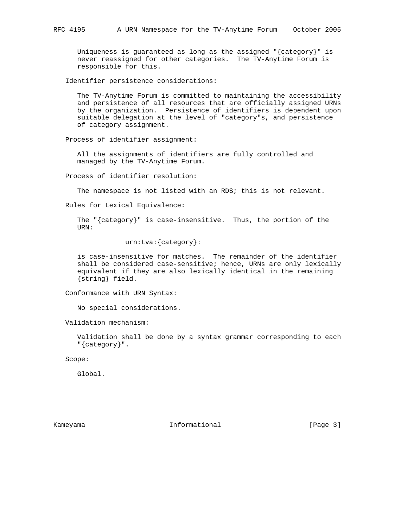Uniqueness is guaranteed as long as the assigned "{category}" is never reassigned for other categories. The TV-Anytime Forum is responsible for this.

Identifier persistence considerations:

 The TV-Anytime Forum is committed to maintaining the accessibility and persistence of all resources that are officially assigned URNs by the organization. Persistence of identifiers is dependent upon suitable delegation at the level of "category"s, and persistence of category assignment.

Process of identifier assignment:

 All the assignments of identifiers are fully controlled and managed by the TV-Anytime Forum.

Process of identifier resolution:

The namespace is not listed with an RDS; this is not relevant.

Rules for Lexical Equivalence:

 The "{category}" is case-insensitive. Thus, the portion of the URN:

urn:tva:{category}:

 is case-insensitive for matches. The remainder of the identifier shall be considered case-sensitive; hence, URNs are only lexically equivalent if they are also lexically identical in the remaining {string} field.

Conformance with URN Syntax:

No special considerations.

Validation mechanism:

 Validation shall be done by a syntax grammar corresponding to each "{category}".

Scope:

Global.

Kameyama **Informational** Informational [Page 3]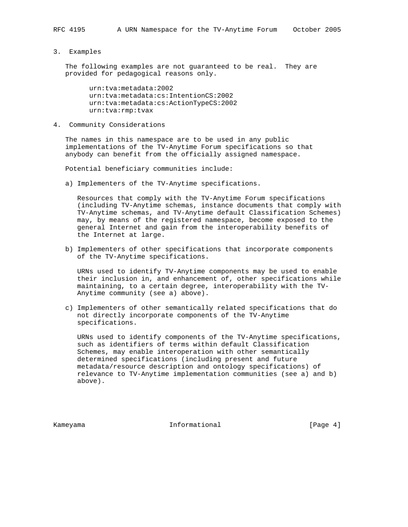### 3. Examples

 The following examples are not guaranteed to be real. They are provided for pedagogical reasons only.

 urn:tva:metadata:2002 urn:tva:metadata:cs:IntentionCS:2002 urn:tva:metadata:cs:ActionTypeCS:2002 urn:tva:rmp:tvax

4. Community Considerations

 The names in this namespace are to be used in any public implementations of the TV-Anytime Forum specifications so that anybody can benefit from the officially assigned namespace.

Potential beneficiary communities include:

a) Implementers of the TV-Anytime specifications.

 Resources that comply with the TV-Anytime Forum specifications (including TV-Anytime schemas, instance documents that comply with TV-Anytime schemas, and TV-Anytime default Classification Schemes) may, by means of the registered namespace, become exposed to the general Internet and gain from the interoperability benefits of the Internet at large.

 b) Implementers of other specifications that incorporate components of the TV-Anytime specifications.

 URNs used to identify TV-Anytime components may be used to enable their inclusion in, and enhancement of, other specifications while maintaining, to a certain degree, interoperability with the TV- Anytime community (see a) above).

 c) Implementers of other semantically related specifications that do not directly incorporate components of the TV-Anytime specifications.

 URNs used to identify components of the TV-Anytime specifications, such as identifiers of terms within default Classification Schemes, may enable interoperation with other semantically determined specifications (including present and future metadata/resource description and ontology specifications) of relevance to TV-Anytime implementation communities (see a) and b) above).

Kameyama **Informational** Informational [Page 4]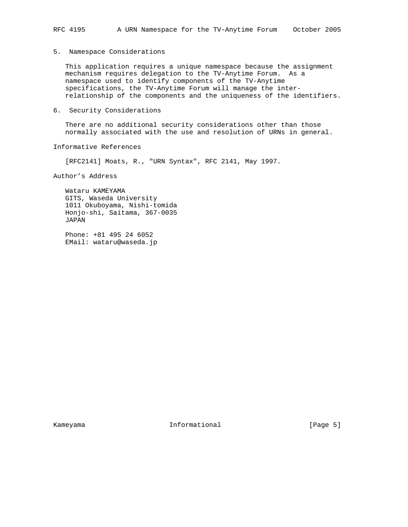# 5. Namespace Considerations

 This application requires a unique namespace because the assignment mechanism requires delegation to the TV-Anytime Forum. As a namespace used to identify components of the TV-Anytime specifications, the TV-Anytime Forum will manage the inter relationship of the components and the uniqueness of the identifiers.

6. Security Considerations

 There are no additional security considerations other than those normally associated with the use and resolution of URNs in general.

Informative References

[RFC2141] Moats, R., "URN Syntax", RFC 2141, May 1997.

Author's Address

 Wataru KAMEYAMA GITS, Waseda University 1011 Okuboyama, Nishi-tomida Honjo-shi, Saitama, 367-0035 JAPAN

 Phone: +81 495 24 6052 EMail: wataru@waseda.jp

Kameyama **Informational** Informational [Page 5]